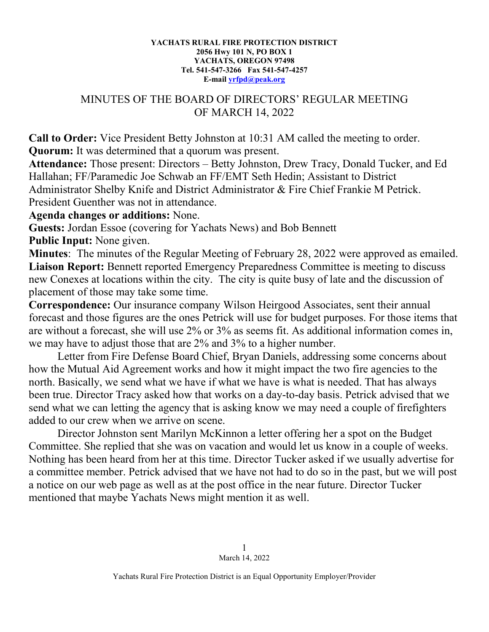## **YACHATS RURAL FIRE PROTECTION DISTRICT 2056 Hwy 101 N, PO BOX 1 YACHATS, OREGON 97498 Tel. 541-547-3266 Fax 541-547-4257 E-mail [yrfpd@peak.org](mailto:yrfpd@peak.org)**

## MINUTES OF THE BOARD OF DIRECTORS' REGULAR MEETING OF MARCH 14, 2022

**Call to Order:** Vice President Betty Johnston at 10:31 AM called the meeting to order. **Quorum:** It was determined that a quorum was present.

**Attendance:** Those present: Directors – Betty Johnston, Drew Tracy, Donald Tucker, and Ed Hallahan; FF/Paramedic Joe Schwab an FF/EMT Seth Hedin; Assistant to District Administrator Shelby Knife and District Administrator & Fire Chief Frankie M Petrick. President Guenther was not in attendance.

**Agenda changes or additions:** None.

**Guests:** Jordan Essoe (covering for Yachats News) and Bob Bennett **Public Input:** None given.

**Minutes**: The minutes of the Regular Meeting of February 28, 2022 were approved as emailed. **Liaison Report:** Bennett reported Emergency Preparedness Committee is meeting to discuss new Conexes at locations within the city. The city is quite busy of late and the discussion of placement of those may take some time.

**Correspondence:** Our insurance company Wilson Heirgood Associates, sent their annual forecast and those figures are the ones Petrick will use for budget purposes. For those items that are without a forecast, she will use 2% or 3% as seems fit. As additional information comes in, we may have to adjust those that are 2% and 3% to a higher number.

Letter from Fire Defense Board Chief, Bryan Daniels, addressing some concerns about how the Mutual Aid Agreement works and how it might impact the two fire agencies to the north. Basically, we send what we have if what we have is what is needed. That has always been true. Director Tracy asked how that works on a day-to-day basis. Petrick advised that we send what we can letting the agency that is asking know we may need a couple of firefighters added to our crew when we arrive on scene.

Director Johnston sent Marilyn McKinnon a letter offering her a spot on the Budget Committee. She replied that she was on vacation and would let us know in a couple of weeks. Nothing has been heard from her at this time. Director Tucker asked if we usually advertise for a committee member. Petrick advised that we have not had to do so in the past, but we will post a notice on our web page as well as at the post office in the near future. Director Tucker mentioned that maybe Yachats News might mention it as well.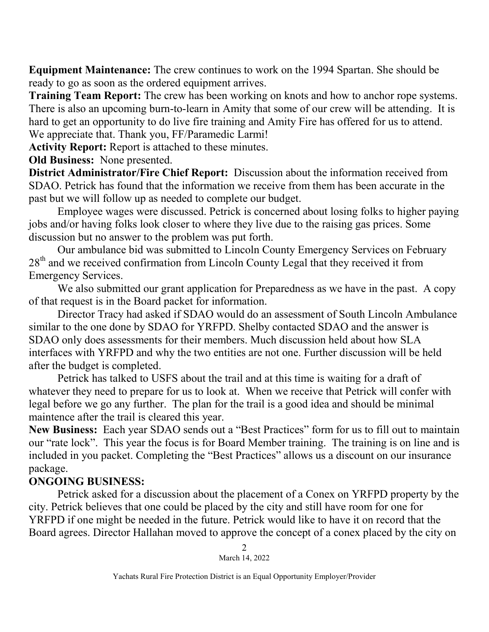**Equipment Maintenance:** The crew continues to work on the 1994 Spartan. She should be ready to go as soon as the ordered equipment arrives.

**Training Team Report:** The crew has been working on knots and how to anchor rope systems. There is also an upcoming burn-to-learn in Amity that some of our crew will be attending. It is hard to get an opportunity to do live fire training and Amity Fire has offered for us to attend. We appreciate that. Thank you, FF/Paramedic Larmi!

**Activity Report:** Report is attached to these minutes.

**Old Business:** None presented.

**District Administrator/Fire Chief Report:** Discussion about the information received from SDAO. Petrick has found that the information we receive from them has been accurate in the past but we will follow up as needed to complete our budget.

Employee wages were discussed. Petrick is concerned about losing folks to higher paying jobs and/or having folks look closer to where they live due to the raising gas prices. Some discussion but no answer to the problem was put forth.

Our ambulance bid was submitted to Lincoln County Emergency Services on February  $28<sup>th</sup>$  and we received confirmation from Lincoln County Legal that they received it from Emergency Services.

We also submitted our grant application for Preparedness as we have in the past. A copy of that request is in the Board packet for information.

Director Tracy had asked if SDAO would do an assessment of South Lincoln Ambulance similar to the one done by SDAO for YRFPD. Shelby contacted SDAO and the answer is SDAO only does assessments for their members. Much discussion held about how SLA interfaces with YRFPD and why the two entities are not one. Further discussion will be held after the budget is completed.

Petrick has talked to USFS about the trail and at this time is waiting for a draft of whatever they need to prepare for us to look at. When we receive that Petrick will confer with legal before we go any further. The plan for the trail is a good idea and should be minimal maintence after the trail is cleared this year.

**New Business:** Each year SDAO sends out a "Best Practices" form for us to fill out to maintain our "rate lock". This year the focus is for Board Member training. The training is on line and is included in you packet. Completing the "Best Practices" allows us a discount on our insurance package.

## **ONGOING BUSINESS:**

Petrick asked for a discussion about the placement of a Conex on YRFPD property by the city. Petrick believes that one could be placed by the city and still have room for one for YRFPD if one might be needed in the future. Petrick would like to have it on record that the Board agrees. Director Hallahan moved to approve the concept of a conex placed by the city on